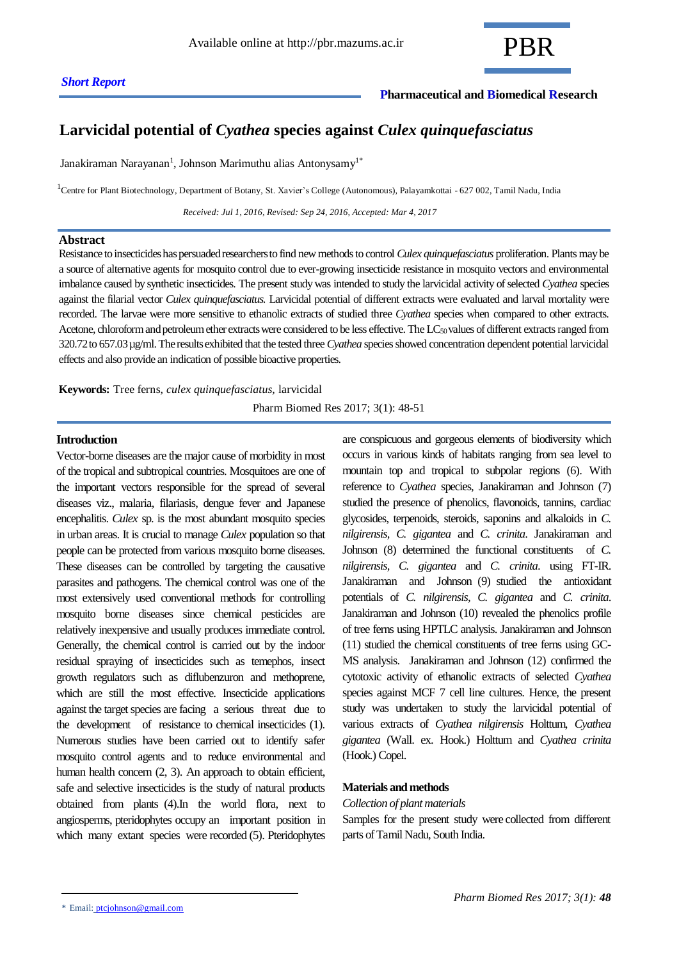# **Pharmaceutical and Biomedical Research**

# **Larvicidal potential of** *Cyathea* **species against** *Culex quinquefasciatus*

Janakiraman Narayanan<sup>1</sup>, Johnson Marimuthu alias Antonysamy<sup>1\*</sup>

<sup>1</sup>Centre for Plant Biotechnology, Department of Botany, St. Xavier's College (Autonomous), Palayamkottai - 627 002, Tamil Nadu, India

 *Received: Jul 1, 2016, Revised: Sep 24, 2016, Accepted: Mar 4, 2017*

#### **Abstract**

Resistance to insecticides has persuaded researchers to find new methods to control *Culex quinquefasciatus* proliferation. Plants may be a source of alternative agents for mosquito control due to ever-growing insecticide resistance in mosquito vectors and environmental imbalance caused by synthetic insecticides. The present study was intended to study the larvicidal activity of selected *Cyathea* species against the filarial vector *Culex quinquefasciatus.* Larvicidal potential of different extracts were evaluated and larval mortality were recorded. The larvae were more sensitive to ethanolic extracts of studied three *Cyathea* species when compared to other extracts. Acetone, chloroform and petroleum ether extracts were considered to be less effective. The LC<sub>50</sub> values of different extracts ranged from 320.72 to 657.03 µg/ml. The results exhibited that the tested three *Cyathea* species showed concentration dependent potential larvicidal effects and also provide an indication of possible bioactive properties.

**Keywords:** Tree ferns, *culex quinquefasciatus,* larvicidal

Pharm Biomed Res 2017; 3(1): 48-51

# **Introduction**

Vector-borne diseases are the major cause of morbidity in most of the tropical and subtropical countries. Mosquitoes are one of the important vectors responsible for the spread of several diseases viz., malaria, filariasis, dengue fever and Japanese encephalitis. *Culex* sp. is the most abundant mosquito species in urban areas. It is crucial to manage *Culex* population so that people can be protected from various mosquito borne diseases. These diseases can be controlled by targeting the causative parasites and pathogens. The chemical control was one of the most extensively used conventional methods for controlling mosquito borne diseases since chemical pesticides are relatively inexpensive and usually produces immediate control. Generally, the chemical control is carried out by the indoor residual spraying of insecticides such as temephos, insect growth regulators such as diflubenzuron and methoprene, which are still the most effective. Insecticide applications against the target species are facing a serious threat due to the development of resistance to chemical insecticides (1). Numerous studies have been carried out to identify safer mosquito control agents and to reduce environmental and human health concern  $(2, 3)$ . An approach to obtain efficient, safe and selective insecticides is the study of natural products obtained from plants (4).In the world flora, next to angiosperms, pteridophytes occupy an important position in which many extant species were recorded (5). Pteridophytes

are conspicuous and gorgeous elements of biodiversity which occurs in various kinds of habitats ranging from sea level to mountain top and tropical to subpolar regions (6). With reference to *Cyathea* species, Janakiraman and Johnson (7) studied the presence of phenolics, flavonoids, tannins, cardiac glycosides, terpenoids, steroids, saponins and alkaloids in *C. nilgirensis, C. gigantea* and *C. crinita*. Janakiraman and Johnson (8) determined the functional constituents of *C. nilgirensis, C. gigantea* and *C. crinita*. using FT-IR. Janakiraman and Johnson (9) studied the antioxidant potentials of *C. nilgirensis, C. gigantea* and *C. crinita*. Janakiraman and Johnson (10) revealed the phenolics profile of tree ferns using HPTLC analysis. Janakiraman and Johnson (11) studied the chemical constituents of tree ferns using GC-MS analysis. Janakiraman and Johnson (12) confirmed the cytotoxic activity of ethanolic extracts of selected *Cyathea* species against MCF 7 cell line cultures. Hence, the present study was undertaken to study the larvicidal potential of various extracts of *Cyathea nilgirensis* Holttum, *Cyathea gigantea* (Wall. ex. Hook.) Holttum and *Cyathea crinita* (Hook.) Copel.

#### **Materials and methods**

#### *Collection of plant materials*

Samples for the present study were collected from different parts of Tamil Nadu, South India.

<sup>\*</sup> Email: [ptcjohnson@gmail.com](mailto:ptcjohnson@gmail.com)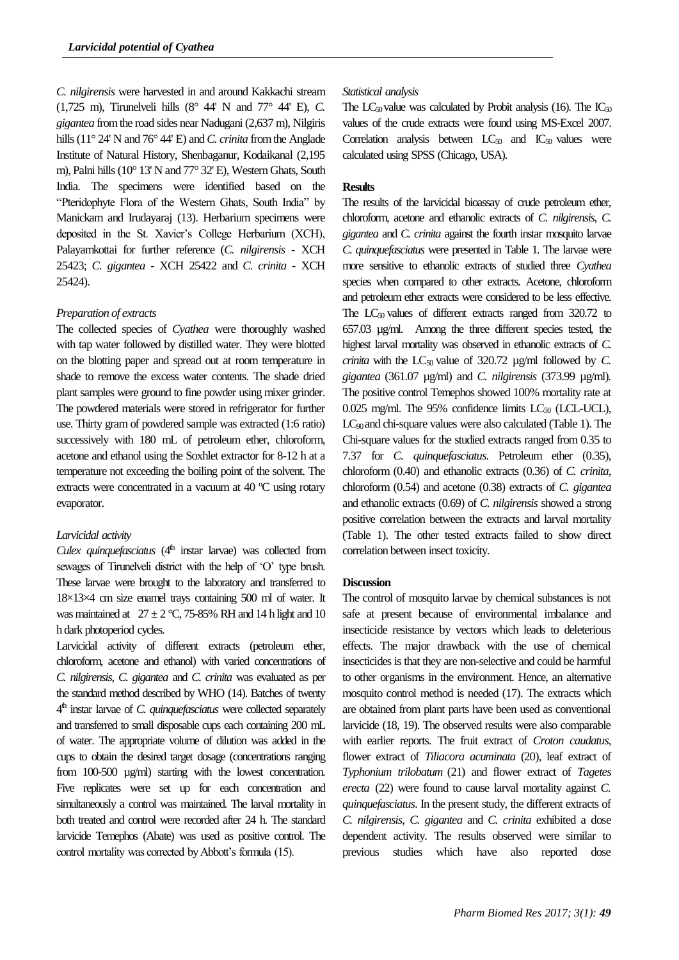*C. nilgirensis* were harvested in and around Kakkachi stream (1,725 m), Tirunelveli hills (8° 44' N and 77° 44' E), *C. gigantea* from the road sides near Nadugani (2,637 m), Nilgiris hills (11° 24' N and 76° 44' E) and *C. crinita* from the Anglade Institute of Natural History, Shenbaganur, Kodaikanal (2,195 m), Palni hills (10° 13' N and 77° 32' E), Western Ghats, South India. The specimens were identified based on the "Pteridophyte Flora of the Western Ghats, South India" by Manickam and Irudayaraj (13). Herbarium specimens were deposited in the St. Xavier's College Herbarium (XCH), Palayamkottai for further reference (*C. nilgirensis* - XCH 25423; *C. gigantea* - XCH 25422 and *C. crinita -* XCH 25424).

# *Preparation of extracts*

The collected species of *Cyathea* were thoroughly washed with tap water followed by distilled water. They were blotted on the blotting paper and spread out at room temperature in shade to remove the excess water contents. The shade dried plant samples were ground to fine powder using mixer grinder. The powdered materials were stored in refrigerator for further use. Thirty gram of powdered sample was extracted (1:6 ratio) successively with 180 mL of petroleum ether, chloroform, acetone and ethanol using the Soxhlet extractor for 8-12 h at a temperature not exceeding the boiling point of the solvent. The extracts were concentrated in a vacuum at 40 ºC using rotary evaporator.

#### *Larvicidal activity*

*Culex quinquefasciatus* (4<sup>th</sup> instar larvae) was collected from sewages of Tirunelveli district with the help of 'O' type brush. These larvae were brought to the laboratory and transferred to 18×13×4 cm size enamel trays containing 500 ml of water. It was maintained at  $27 \pm 2$  °C, 75-85% RH and 14 h light and 10 h dark photoperiod cycles.

Larvicidal activity of different extracts (petroleum ether, chloroform, acetone and ethanol) with varied concentrations of *C. nilgirensis*, *C. gigantea* and *C. crinita* was evaluated as per the standard method described by WHO (14). Batches of twenty 4 th instar larvae of *C. quinquefasciatus* were collected separately and transferred to small disposable cups each containing 200 mL of water. The appropriate volume of dilution was added in the cups to obtain the desired target dosage (concentrations ranging from 100-500 µg/ml) starting with the lowest concentration. Five replicates were set up for each concentration and simultaneously a control was maintained. The larval mortality in both treated and control were recorded after 24 h. The standard larvicide Temephos (Abate) was used as positive control. The control mortality was corrected by Abbott's formula (15).

# *Statistical analysis*

The  $LC_{50}$  value was calculated by Probit analysis (16). The  $IC_{50}$ values of the crude extracts were found using MS-Excel 2007. Correlation analysis between  $LC_{50}$  and  $IC_{50}$  values were calculated using SPSS (Chicago, USA).

# **Results**

The results of the larvicidal bioassay of crude petroleum ether, chloroform, acetone and ethanolic extracts of *C. nilgirensis*, *C. gigantea* and *C. crinita* against the fourth instar mosquito larvae *C. quinquefasciatus* were presented in Table 1. The larvae were more sensitive to ethanolic extracts of studied three *Cyathea*  species when compared to other extracts. Acetone, chloroform and petroleum ether extracts were considered to be less effective. The  $LC_{50}$  values of different extracts ranged from 320.72 to 657.03 µg/ml. Among the three different species tested, the highest larval mortality was observed in ethanolic extracts of *C. crinita* with the  $LC_{50}$  value of 320.72  $\mu$ g/ml followed by *C*. *gigantea* (361.07 µg/ml) and *C. nilgirensis* (373.99 µg/ml)*.*  The positive control Temephos showed 100% mortality rate at 0.025 mg/ml. The 95% confidence limits  $LC_{50}$  (LCL-UCL), LC<sub>90</sub> and chi-square values were also calculated (Table 1). The Chi-square values for the studied extracts ranged from 0.35 to 7.37 for *C. quinquefasciatus*. Petroleum ether (0.35), chloroform (0.40) and ethanolic extracts (0.36) of *C. crinita*, chloroform (0.54) and acetone (0.38) extracts of *C. gigantea*  and ethanolic extracts (0.69) of *C. nilgirensis* showed a strong positive correlation between the extracts and larval mortality (Table 1). The other tested extracts failed to show direct correlation between insect toxicity.

## **Discussion**

The control of mosquito larvae by chemical substances is not safe at present because of environmental imbalance and insecticide resistance by vectors which leads to deleterious effects. The major drawback with the use of chemical insecticides is that they are non-selective and could be harmful to other organisms in the environment. Hence, an alternative mosquito control method is needed (17). The extracts which are obtained from plant parts have been used as conventional larvicide (18, 19). The observed results were also comparable with earlier reports*.* The fruit extract of *Croton caudatus*, flower extract of *Tiliacora acuminata* (20), leaf extract of *Typhonium trilobatum* (21) and flower extract of *Tagetes erecta* (22) were found to cause larval mortality against *C. quinquefasciatus*. In the present study, the different extracts of *C. nilgirensis*, *C. gigantea* and *C. crinita* exhibited a dose dependent activity. The results observed were similar to previous studies which have also reported dose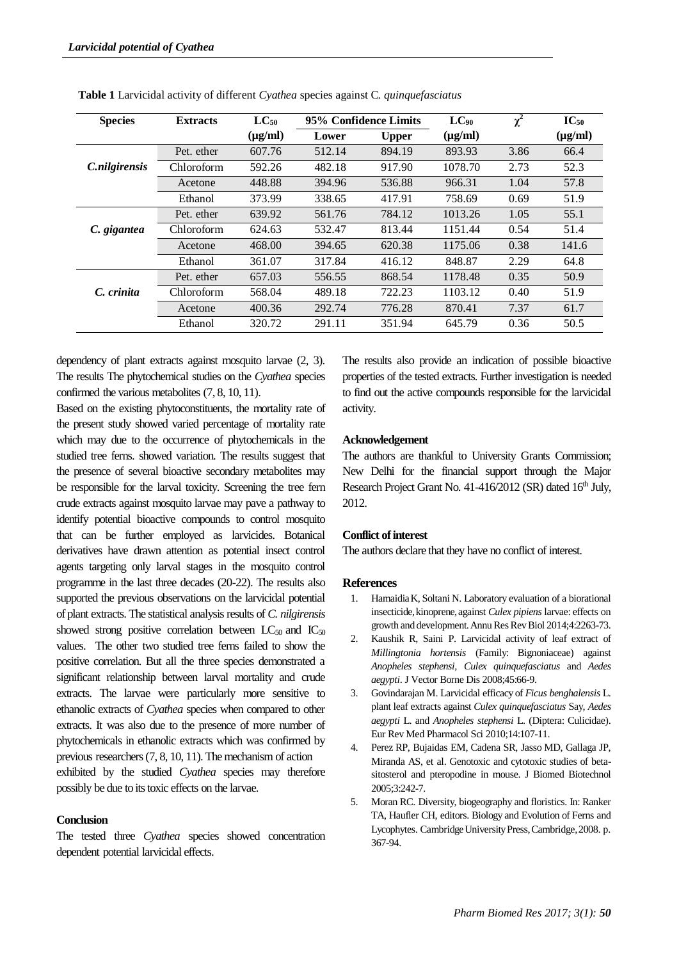| <b>Species</b>       | <b>Extracts</b>   | $LC_{50}$    | 95% Confidence Limits |              | $LC_{90}$    | $\chi^2$ | $IC_{50}$    |
|----------------------|-------------------|--------------|-----------------------|--------------|--------------|----------|--------------|
|                      |                   | $(\mu g/ml)$ | Lower                 | <b>Upper</b> | $(\mu g/ml)$ |          | $(\mu g/ml)$ |
|                      | Pet. ether        | 607.76       | 512.14                | 894.19       | 893.93       | 3.86     | 66.4         |
| <i>C.nilgirensis</i> | Chloroform        | 592.26       | 482.18                | 917.90       | 1078.70      | 2.73     | 52.3         |
|                      | Acetone           | 448.88       | 394.96                | 536.88       | 966.31       | 1.04     | 57.8         |
|                      | Ethanol           | 373.99       | 338.65                | 417.91       | 758.69       | 0.69     | 51.9         |
|                      | Pet. ether        | 639.92       | 561.76                | 784.12       | 1013.26      | 1.05     | 55.1         |
| C. gigantea          | <b>Chloroform</b> | 624.63       | 532.47                | 813.44       | 1151.44      | 0.54     | 51.4         |
|                      | Acetone           | 468.00       | 394.65                | 620.38       | 1175.06      | 0.38     | 141.6        |
|                      | Ethanol           | 361.07       | 317.84                | 416.12       | 848.87       | 2.29     | 64.8         |
|                      | Pet. ether        | 657.03       | 556.55                | 868.54       | 1178.48      | 0.35     | 50.9         |
| C. crinita           | Chloroform        | 568.04       | 489.18                | 722.23       | 1103.12      | 0.40     | 51.9         |
|                      | Acetone           | 400.36       | 292.74                | 776.28       | 870.41       | 7.37     | 61.7         |
|                      | Ethanol           | 320.72       | 291.11                | 351.94       | 645.79       | 0.36     | 50.5         |

**Table 1** Larvicidal activity of different *Cyathea* species against C*. quinquefasciatus*

dependency of plant extracts against mosquito larvae (2, 3). The results The phytochemical studies on the *Cyathea* species confirmed the various metabolites (7, 8, 10, 11).

Based on the existing phytoconstituents, the mortality rate of the present study showed varied percentage of mortality rate which may due to the occurrence of phytochemicals in the studied tree ferns. showed variation. The results suggest that the presence of several bioactive secondary metabolites may be responsible for the larval toxicity. Screening the tree fern crude extracts against mosquito larvae may pave a pathway to identify potential bioactive compounds to control mosquito that can be further employed as larvicides. Botanical derivatives have drawn attention as potential insect control agents targeting only larval stages in the mosquito control programme in the last three decades (20-22). The results also supported the previous observations on the larvicidal potential of plant extracts. The statistical analysis results of *C. nilgirensis* showed strong positive correlation between  $LC_{50}$  and  $IC_{50}$ values. The other two studied tree ferns failed to show the positive correlation. But all the three species demonstrated a significant relationship between larval mortality and crude extracts. The larvae were particularly more sensitive to ethanolic extracts of *Cyathea* species when compared to other extracts. It was also due to the presence of more number of phytochemicals in ethanolic extracts which was confirmed by previous researchers (7, 8, 10, 11). The mechanism of action exhibited by the studied *Cyathea* species may therefore possibly be due to its toxic effects on the larvae.

# **Conclusion**

The tested three *Cyathea* species showed concentration dependent potential larvicidal effects.

The results also provide an indication of possible bioactive properties of the tested extracts. Further investigation is needed to find out the active compounds responsible for the larvicidal activity.

### **Acknowledgement**

The authors are thankful to University Grants Commission; New Delhi for the financial support through the Major Research Project Grant No. 41-416/2012 (SR) dated 16<sup>th</sup> July, 2012.

# **Conflict of interest**

The authors declare that they have no conflict of interest.

#### **References**

- 1. Hamaidia K, Soltani N. Laboratory evaluation of a biorational insecticide, kinoprene, against *Culex pipiens* larvae: effects on growth and development. Annu Res Rev Biol 2014;4:2263-73.
- 2. Kaushik R, Saini P. Larvicidal activity of leaf extract of *Millingtonia hortensis* (Family: Bignoniaceae) against *Anopheles stephensi, Culex quinquefasciatus* and *Aedes aegypti*. J Vector Borne Dis 2008;45:66-9.
- 3. Govindarajan M. Larvicidal efficacy of *Ficus benghalensis* L. plant leaf extracts against *Culex quinquefasciatus* Say, *Aedes aegypti* L. and *Anopheles stephensi* L. (Diptera: Culicidae). Eur Rev Med Pharmacol Sci 2010;14:107-11.
- 4. Perez RP, Bujaidas EM, Cadena SR, Jasso MD, Gallaga JP, Miranda AS, et al. Genotoxic and cytotoxic studies of betasitosterol and pteropodine in mouse. J Biomed Biotechnol 2005;3:242-7.
- 5. Moran RC. Diversity, biogeography and floristics. In: Ranker TA, Haufler CH, editors. Biology and Evolution of Ferns and Lycophytes. Cambridge University Press, Cambridge, 2008. p. 367-94.